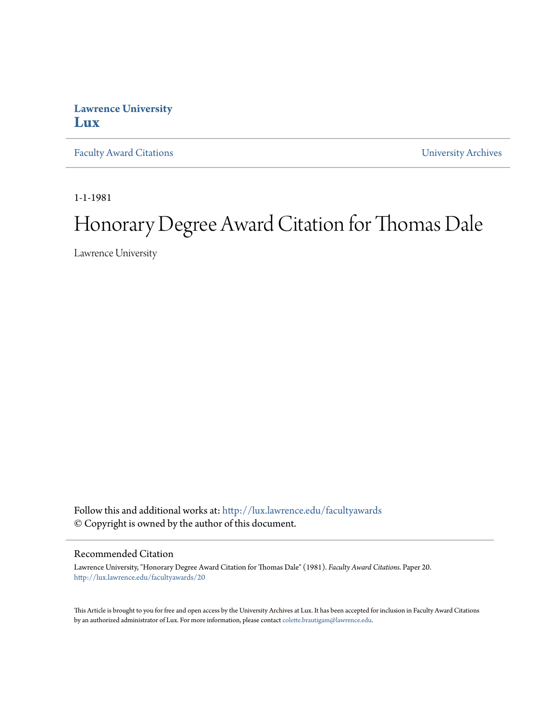## **Lawrence University [Lux](http://lux.lawrence.edu?utm_source=lux.lawrence.edu%2Ffacultyawards%2F20&utm_medium=PDF&utm_campaign=PDFCoverPages)**

[Faculty Award Citations](http://lux.lawrence.edu/facultyawards?utm_source=lux.lawrence.edu%2Ffacultyawards%2F20&utm_medium=PDF&utm_campaign=PDFCoverPages) **Example 2018** [University Archives](http://lux.lawrence.edu/archives?utm_source=lux.lawrence.edu%2Ffacultyawards%2F20&utm_medium=PDF&utm_campaign=PDFCoverPages)

1-1-1981

# Honorary Degree Award Citation for Thomas Dale

Lawrence University

Follow this and additional works at: [http://lux.lawrence.edu/facultyawards](http://lux.lawrence.edu/facultyawards?utm_source=lux.lawrence.edu%2Ffacultyawards%2F20&utm_medium=PDF&utm_campaign=PDFCoverPages) © Copyright is owned by the author of this document.

#### Recommended Citation

Lawrence University, "Honorary Degree Award Citation for Thomas Dale" (1981). *Faculty Award Citations.* Paper 20. [http://lux.lawrence.edu/facultyawards/20](http://lux.lawrence.edu/facultyawards/20?utm_source=lux.lawrence.edu%2Ffacultyawards%2F20&utm_medium=PDF&utm_campaign=PDFCoverPages)

This Article is brought to you for free and open access by the University Archives at Lux. It has been accepted for inclusion in Faculty Award Citations by an authorized administrator of Lux. For more information, please contact [colette.brautigam@lawrence.edu](mailto:colette.brautigam@lawrence.edu).